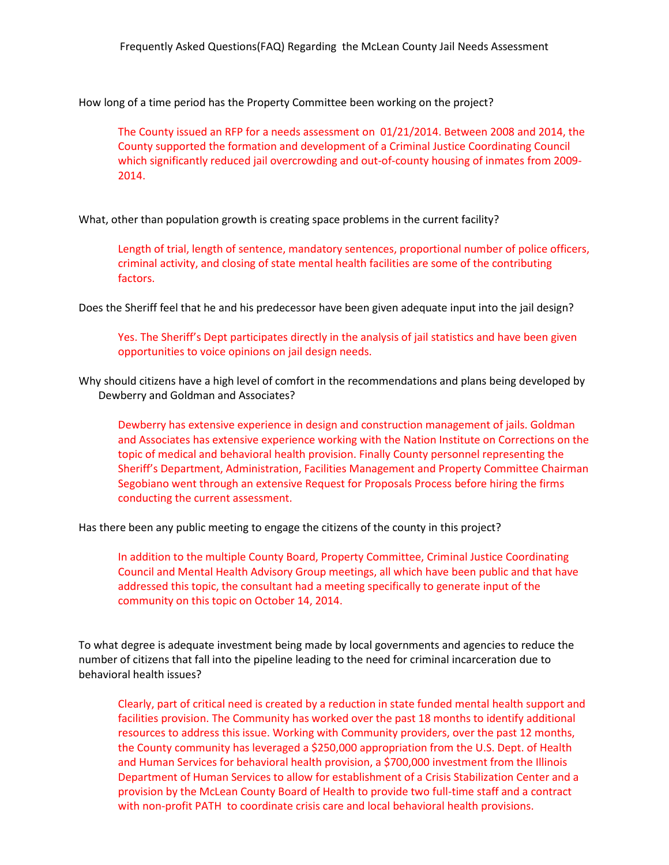How long of a time period has the Property Committee been working on the project?

The County issued an RFP for a needs assessment on 01/21/2014. Between 2008 and 2014, the County supported the formation and development of a Criminal Justice Coordinating Council which significantly reduced jail overcrowding and out-of-county housing of inmates from 2009- 2014.

What, other than population growth is creating space problems in the current facility?

Length of trial, length of sentence, mandatory sentences, proportional number of police officers, criminal activity, and closing of state mental health facilities are some of the contributing factors.

Does the Sheriff feel that he and his predecessor have been given adequate input into the jail design?

Yes. The Sheriff's Dept participates directly in the analysis of jail statistics and have been given opportunities to voice opinions on jail design needs.

Why should citizens have a high level of comfort in the recommendations and plans being developed by Dewberry and Goldman and Associates?

Dewberry has extensive experience in design and construction management of jails. Goldman and Associates has extensive experience working with the Nation Institute on Corrections on the topic of medical and behavioral health provision. Finally County personnel representing the Sheriff's Department, Administration, Facilities Management and Property Committee Chairman Segobiano went through an extensive Request for Proposals Process before hiring the firms conducting the current assessment.

Has there been any public meeting to engage the citizens of the county in this project?

In addition to the multiple County Board, Property Committee, Criminal Justice Coordinating Council and Mental Health Advisory Group meetings, all which have been public and that have addressed this topic, the consultant had a meeting specifically to generate input of the community on this topic on October 14, 2014.

To what degree is adequate investment being made by local governments and agencies to reduce the number of citizens that fall into the pipeline leading to the need for criminal incarceration due to behavioral health issues?

Clearly, part of critical need is created by a reduction in state funded mental health support and facilities provision. The Community has worked over the past 18 months to identify additional resources to address this issue. Working with Community providers, over the past 12 months, the County community has leveraged a \$250,000 appropriation from the U.S. Dept. of Health and Human Services for behavioral health provision, a \$700,000 investment from the Illinois Department of Human Services to allow for establishment of a Crisis Stabilization Center and a provision by the McLean County Board of Health to provide two full-time staff and a contract with non-profit PATH to coordinate crisis care and local behavioral health provisions.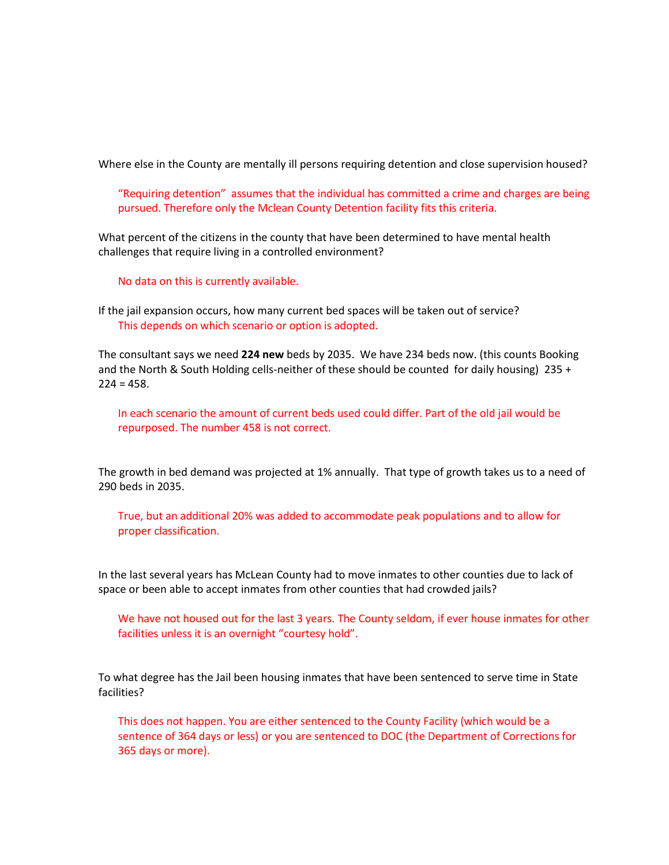Where else in the County are mentally ill persons requiring detention and close supervision housed?

"Requiring detention" assumes that the individual has committed a crime and charges are being pursued. Therefore only the Mclean County Detention facility fits this criteria.

What percent of the citizens in the county that have been determined to have mental health challenges that require living in a controlled environment?

No data on this is currently available.

If the jail expansion occurs, how many current bed spaces will be taken out of service? This depends on which scenario or option is adopted.

The consultant says we need **224 new** beds by 2035. We have 234 beds now. (this counts Booking and the North & South Holding cells-neither of these should be counted for daily housing) 235 +  $224 = 458.$ 

In each scenario the amount of current beds used could differ. Part of the old jail would be repurposed. The number 458 is not correct.

The growth in bed demand was projected at 1% annually. That type of growth takes us to a need of 290 beds in 2035.

True, but an additional 20% was added to accommodate peak populations and to allow for proper classification.

In the last several years has McLean County had to move inmates to other counties due to lack of space or been able to accept inmates from other counties that had crowded jails?

We have not housed out for the last 3 years. The County seldom, if ever house inmates for other facilities unless it is an overnight "courtesy hold".

To what degree has the Jail been housing inmates that have been sentenced to serve time in State facilities?

This does not happen. You are either sentenced to the County Facility (which would be a sentence of 364 days or less) or you are sentenced to DOC (the Department of Corrections for 365 days or more).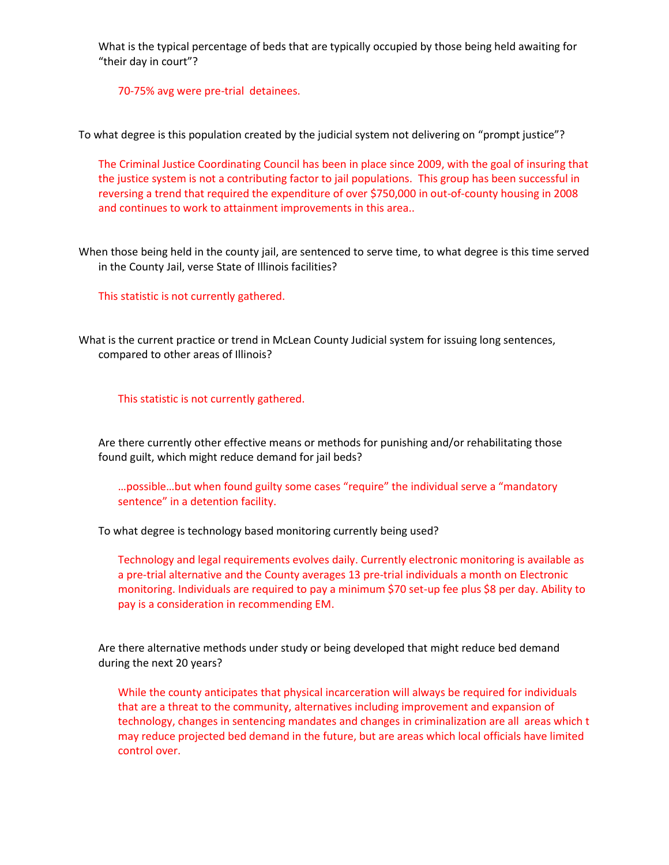What is the typical percentage of beds that are typically occupied by those being held awaiting for "their day in court"?

70-75% avg were pre-trial detainees.

To what degree is this population created by the judicial system not delivering on "prompt justice"?

The Criminal Justice Coordinating Council has been in place since 2009, with the goal of insuring that the justice system is not a contributing factor to jail populations. This group has been successful in reversing a trend that required the expenditure of over \$750,000 in out-of-county housing in 2008 and continues to work to attainment improvements in this area..

When those being held in the county jail, are sentenced to serve time, to what degree is this time served in the County Jail, verse State of Illinois facilities?

This statistic is not currently gathered.

What is the current practice or trend in McLean County Judicial system for issuing long sentences, compared to other areas of Illinois?

This statistic is not currently gathered.

Are there currently other effective means or methods for punishing and/or rehabilitating those found guilt, which might reduce demand for jail beds?

…possible…but when found guilty some cases "require" the individual serve a "mandatory sentence" in a detention facility.

To what degree is technology based monitoring currently being used?

Technology and legal requirements evolves daily. Currently electronic monitoring is available as a pre-trial alternative and the County averages 13 pre-trial individuals a month on Electronic monitoring. Individuals are required to pay a minimum \$70 set-up fee plus \$8 per day. Ability to pay is a consideration in recommending EM.

Are there alternative methods under study or being developed that might reduce bed demand during the next 20 years?

While the county anticipates that physical incarceration will always be required for individuals that are a threat to the community, alternatives including improvement and expansion of technology, changes in sentencing mandates and changes in criminalization are all areas which t may reduce projected bed demand in the future, but are areas which local officials have limited control over.